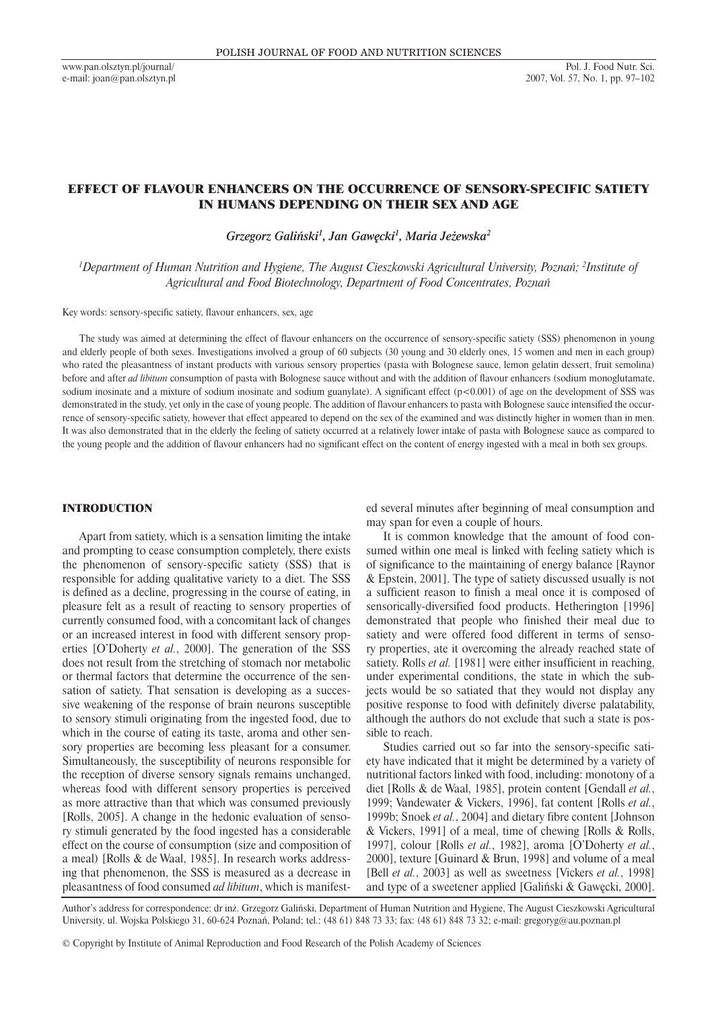# EFFECT OF FLAVOUR ENHANCERS ON THE OCCURRENCE OF SENSORY-SPECIFIC SATIETY IN HUMANS DEPENDING ON THEIR SEX AND AGE

*Grzegorz Galiński1 , Jan Gawęcki1 , Maria Jeżewska2*

*1 Department of Human Nutrition and Hygiene, The August Cieszkowski Agricultural University, Poznań; 2 Institute of Agricultural and Food Biotechnology, Department of Food Concentrates, Poznań*

Key words: sensory-specific satiety, flavour enhancers, sex, age

The study was aimed at determining the effect of flavour enhancers on the occurrence of sensory-specific satiety (SSS) phenomenon in young and elderly people of both sexes. Investigations involved a group of 60 subjects (30 young and 30 elderly ones, 15 women and men in each group) who rated the pleasantness of instant products with various sensory properties (pasta with Bolognese sauce, lemon gelatin dessert, fruit semolina) before and after *ad libitum* consumption of pasta with Bolognese sauce without and with the addition of flavour enhancers (sodium monoglutamate, sodium inosinate and a mixture of sodium inosinate and sodium guanylate). A significant effect (p<0.001) of age on the development of SSS was demonstrated in the study, yet only in the case of young people. The addition of flavour enhancers to pasta with Bolognese sauce intensified the occurrence of sensory-specific satiety, however that effect appeared to depend on the sex of the examined and was distinctly higher in women than in men. It was also demonstrated that in the elderly the feeling of satiety occurred at a relatively lower intake of pasta with Bolognese sauce as compared to the young people and the addition of flavour enhancers had no significant effect on the content of energy ingested with a meal in both sex groups.

## INTRODUCTION

Apart from satiety, which is a sensation limiting the intake and prompting to cease consumption completely, there exists the phenomenon of sensory-specific satiety (SSS) that is responsible for adding qualitative variety to a diet. The SSS is defined as a decline, progressing in the course of eating, in pleasure felt as a result of reacting to sensory properties of currently consumed food, with a concomitant lack of changes or an increased interest in food with different sensory properties [O'Doherty *et al.*, 2000]. The generation of the SSS does not result from the stretching of stomach nor metabolic or thermal factors that determine the occurrence of the sensation of satiety. That sensation is developing as a successive weakening of the response of brain neurons susceptible to sensory stimuli originating from the ingested food, due to which in the course of eating its taste, aroma and other sensory properties are becoming less pleasant for a consumer. Simultaneously, the susceptibility of neurons responsible for the reception of diverse sensory signals remains unchanged, whereas food with different sensory properties is perceived as more attractive than that which was consumed previously [Rolls, 2005]. A change in the hedonic evaluation of sensory stimuli generated by the food ingested has a considerable effect on the course of consumption (size and composition of a meal) [Rolls & de Waal, 1985]. In research works addressing that phenomenon, the SSS is measured as a decrease in pleasantness of food consumed *ad libitum*, which is manifested several minutes after beginning of meal consumption and may span for even a couple of hours.

It is common knowledge that the amount of food consumed within one meal is linked with feeling satiety which is of significance to the maintaining of energy balance [Raynor & Epstein, 2001]. The type of satiety discussed usually is not a sufficient reason to finish a meal once it is composed of sensorically-diversified food products. Hetherington [1996] demonstrated that people who finished their meal due to satiety and were offered food different in terms of sensory properties, ate it overcoming the already reached state of satiety. Rolls *et al.* [1981] were either insufficient in reaching, under experimental conditions, the state in which the subjects would be so satiated that they would not display any positive response to food with definitely diverse palatability, although the authors do not exclude that such a state is possible to reach.

Studies carried out so far into the sensory-specific satiety have indicated that it might be determined by a variety of nutritional factors linked with food, including: monotony of a diet [Rolls & de Waal, 1985], protein content [Gendall *et al.*, 1999; Vandewater & Vickers, 1996], fat content [Rolls *et al.*, 1999b; Snoek *et al.*, 2004] and dietary fibre content [Johnson & Vickers, 1991] of a meal, time of chewing [Rolls & Rolls, 1997], colour [Rolls *et al.*, 1982], aroma [O'Doherty *et al.*, 2000], texture [Guinard & Brun, 1998] and volume of a meal [Bell *et al.*, 2003] as well as sweetness [Vickers *et al.*, 1998] and type of a sweetener applied [Galiński & Gawęcki, 2000].

Author's address for correspondence: dr inż. Grzegorz Galiński, Department of Human Nutrition and Hygiene, The August Cieszkowski Agricultural University, ul. Wojska Polskiego 31, 60-624 Poznań, Poland; tel.: (48 61) 848 73 33; fax: (48 61) 848 73 32; e-mail: gregoryg@au.poznan.pl

© Copyright by Institute of Animal Reproduction and Food Research of the Polish Academy of Sciences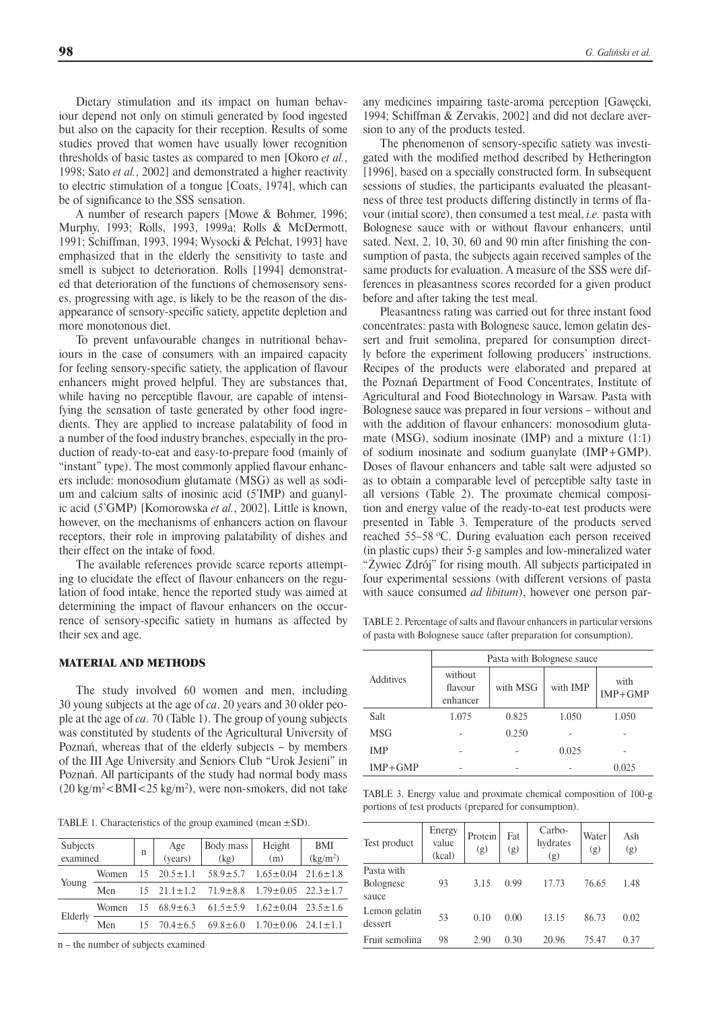Dietary stimulation and its impact on human behaviour depend not only on stimuli generated by food ingested but also on the capacity for their reception. Results of some studies proved that women have usually lower recognition thresholds of basic tastes as compared to men [Okoro *et al.*, 1998; Sato *et al.*, 2002] and demonstrated a higher reactivity to electric stimulation of a tongue [Coats, 1974], which can be of significance to the SSS sensation.

A number of research papers [Mowe & Bohmer, 1996; Murphy, 1993; Rolls, 1993, 1999a; Rolls & McDermott, 1991; Schiffman, 1993, 1994; Wysocki & Pelchat, 1993] have emphasized that in the elderly the sensitivity to taste and smell is subject to deterioration. Rolls [1994] demonstrated that deterioration of the functions of chemosensory senses, progressing with age, is likely to be the reason of the disappearance of sensory-specific satiety, appetite depletion and more monotonous diet.

To prevent unfavourable changes in nutritional behaviours in the case of consumers with an impaired capacity for feeling sensory-specific satiety, the application of flavour enhancers might proved helpful. They are substances that, while having no perceptible flavour, are capable of intensifying the sensation of taste generated by other food ingredients. They are applied to increase palatability of food in a number of the food industry branches, especially in the production of ready-to-eat and easy-to-prepare food (mainly of "instant" type). The most commonly applied flavour enhancers include: monosodium glutamate (MSG) as well as sodium and calcium salts of inosinic acid (5'IMP) and guanylic acid (5'GMP) [Komorowska *et al.*, 2002]. Little is known, however, on the mechanisms of enhancers action on flavour receptors, their role in improving palatability of dishes and their effect on the intake of food.

The available references provide scarce reports attempting to elucidate the effect of flavour enhancers on the regulation of food intake, hence the reported study was aimed at determining the impact of flavour enhancers on the occurrence of sensory-specific satiety in humans as affected by their sex and age.

## MATERIAL AND METHODS

The study involved 60 women and men, including 30 young subjects at the age of *ca*. 20 years and 30 older people at the age of *ca*. 70 (Table 1). The group of young subjects was constituted by students of the Agricultural University of Poznań, whereas that of the elderly subjects – by members of the III Age University and Seniors Club "Urok Jesieni" in Poznań. All participants of the study had normal body mass  $(20 \text{ kg/m}^2<\text{BMI}<25 \text{ kg/m}^2)$ , were non-smokers, did not take

TABLE 1. Characteristics of the group examined (mean  $\pm$ SD).

| Subjects<br>examined |  | Age<br>(years) | Body mass<br>(kg)                                  | Height<br>(m)  | <b>BMI</b><br>$\frac{\text{kg}}{\text{m}^2}$                                                                                                                                                                                          |  |
|----------------------|--|----------------|----------------------------------------------------|----------------|---------------------------------------------------------------------------------------------------------------------------------------------------------------------------------------------------------------------------------------|--|
| Women                |  |                |                                                    |                |                                                                                                                                                                                                                                       |  |
| Men                  |  |                |                                                    |                |                                                                                                                                                                                                                                       |  |
| Women                |  |                |                                                    |                |                                                                                                                                                                                                                                       |  |
| Men                  |  |                |                                                    |                |                                                                                                                                                                                                                                       |  |
|                      |  | n              | $15 \quad 20.5 \pm 1.1$<br>$15 \quad 70.4 \pm 6.5$ | $69.8 \pm 6.0$ | $58.9 \pm 5.7$ $1.65 \pm 0.04$ $21.6 \pm 1.8$<br>$15$ $21.1 \pm 1.2$ $71.9 \pm 8.8$ $1.79 \pm 0.05$ $22.3 \pm 1.7$<br>$15\quad 68.9 \pm 6.3\quad 61.5 \pm 5.9\quad 1.62 \pm 0.04\quad 23.5 \pm 1.6$<br>$1.70 \pm 0.06$ $24.1 \pm 1.1$ |  |

n – the number of subjects examined

any medicines impairing taste-aroma perception [Gawęcki, 1994; Schiffman & Zervakis, 2002] and did not declare aversion to any of the products tested.

The phenomenon of sensory-specific satiety was investigated with the modified method described by Hetherington [1996], based on a specially constructed form. In subsequent sessions of studies, the participants evaluated the pleasantness of three test products differing distinctly in terms of flavour (initial score), then consumed a test meal, *i.e.* pasta with Bolognese sauce with or without flavour enhancers, until sated. Next, 2, 10, 30, 60 and 90 min after finishing the consumption of pasta, the subjects again received samples of the same products for evaluation. A measure of the SSS were differences in pleasantness scores recorded for a given product before and after taking the test meal.

Pleasantness rating was carried out for three instant food concentrates: pasta with Bolognese sauce, lemon gelatin dessert and fruit semolina, prepared for consumption directly before the experiment following producers' instructions. Recipes of the products were elaborated and prepared at the Poznań Department of Food Concentrates, Institute of Agricultural and Food Biotechnology in Warsaw. Pasta with Bolognese sauce was prepared in four versions – without and with the addition of flavour enhancers: monosodium glutamate (MSG), sodium inosinate (IMP) and a mixture (1:1) of sodium inosinate and sodium guanylate (IMP+GMP). Doses of flavour enhancers and table salt were adjusted so as to obtain a comparable level of perceptible salty taste in all versions (Table 2). The proximate chemical composition and energy value of the ready-to-eat test products were presented in Table 3. Temperature of the products served reached 55-58 °C. During evaluation each person received (in plastic cups) their 5-g samples and low-mineralized water "Żywiec Zdrój" for rising mouth. All subjects participated in four experimental sessions (with different versions of pasta with sauce consumed *ad libitum*), however one person par-

TABLE 2. Percentage of salts and flavour enhancers in particular versions of pasta with Bolognese sauce (after preparation for consumption).

| <b>Additives</b> | Pasta with Bolognese sauce     |          |          |                     |  |  |  |  |
|------------------|--------------------------------|----------|----------|---------------------|--|--|--|--|
|                  | without<br>flavour<br>enhancer | with MSG | with IMP | with<br>$IMP + GMP$ |  |  |  |  |
| Salt             | 1.075                          | 0.825    | 1.050    | 1.050               |  |  |  |  |
| <b>MSG</b>       |                                | 0.250    |          |                     |  |  |  |  |
| <b>IMP</b>       |                                |          | 0.025    |                     |  |  |  |  |
| $IMP + GMP$      | -                              |          |          | 0.025               |  |  |  |  |

TABLE 3. Energy value and proximate chemical composition of 100-g portions of test products (prepared for consumption).

| Test product                            | Energy<br>value<br>(kcal) | Protein<br>(g) | Fat<br>(g) | Carbo-<br>hydrates<br>(g) | Water<br>(g) | Ash<br>(g) |
|-----------------------------------------|---------------------------|----------------|------------|---------------------------|--------------|------------|
| Pasta with<br><b>Bolognese</b><br>sauce | 93                        | 3.15           | 0.99       | 17.73                     | 76.65        | 1.48       |
| Lemon gelatin<br>dessert                | 53                        | 0.10           | 0.00       | 13.15                     | 86.73        | 0.02       |
| Fruit semolina                          | 98                        | 2.90           | 0.30       | 20.96                     | 75.47        | 0.37       |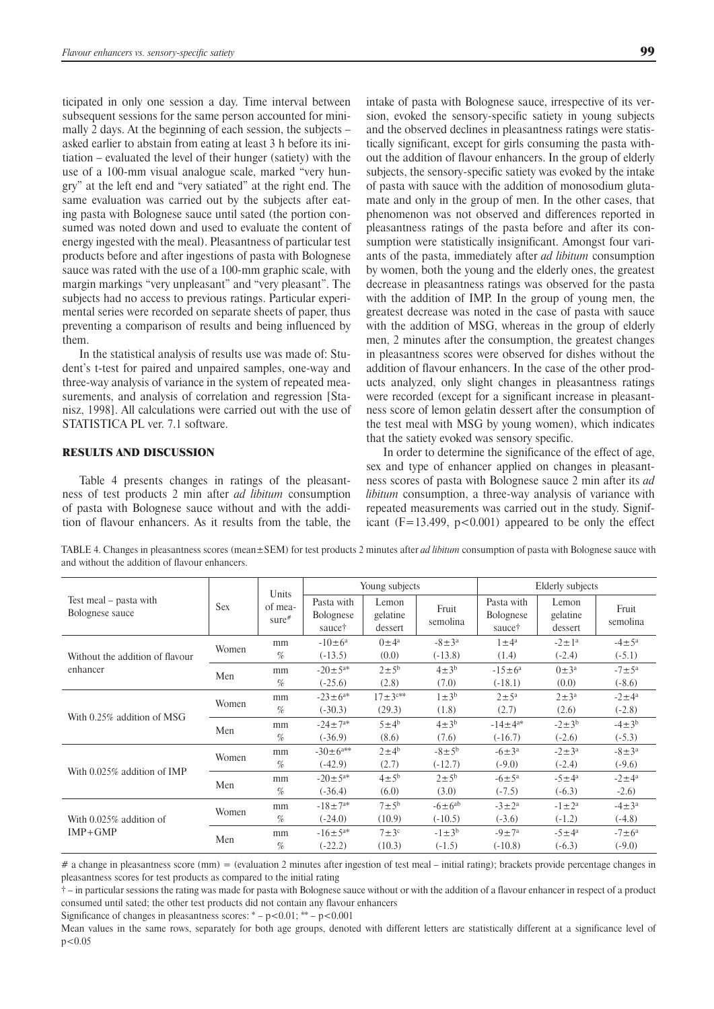ticipated in only one session a day. Time interval between subsequent sessions for the same person accounted for minimally 2 days. At the beginning of each session, the subjects – asked earlier to abstain from eating at least 3 h before its initiation – evaluated the level of their hunger (satiety) with the use of a 100-mm visual analogue scale, marked "very hungry" at the left end and "very satiated" at the right end. The same evaluation was carried out by the subjects after eating pasta with Bolognese sauce until sated (the portion consumed was noted down and used to evaluate the content of energy ingested with the meal). Pleasantness of particular test products before and after ingestions of pasta with Bolognese sauce was rated with the use of a 100-mm graphic scale, with margin markings "very unpleasant" and "very pleasant". The subjects had no access to previous ratings. Particular experimental series were recorded on separate sheets of paper, thus preventing a comparison of results and being influenced by them.

In the statistical analysis of results use was made of: Student's t-test for paired and unpaired samples, one-way and three-way analysis of variance in the system of repeated measurements, and analysis of correlation and regression [Stanisz, 1998]. All calculations were carried out with the use of STATISTICA PL ver. 7.1 software.

## RESULTS AND DISCUSSION

Table 4 presents changes in ratings of the pleasantness of test products 2 min after *ad libitum* consumption of pasta with Bolognese sauce without and with the addition of flavour enhancers. As it results from the table, the intake of pasta with Bolognese sauce, irrespective of its version, evoked the sensory-specific satiety in young subjects and the observed declines in pleasantness ratings were statistically significant, except for girls consuming the pasta without the addition of flavour enhancers. In the group of elderly subjects, the sensory-specific satiety was evoked by the intake of pasta with sauce with the addition of monosodium glutamate and only in the group of men. In the other cases, that phenomenon was not observed and differences reported in pleasantness ratings of the pasta before and after its consumption were statistically insignificant. Amongst four variants of the pasta, immediately after *ad libitum* consumption by women, both the young and the elderly ones, the greatest decrease in pleasantness ratings was observed for the pasta with the addition of IMP. In the group of young men, the greatest decrease was noted in the case of pasta with sauce with the addition of MSG, whereas in the group of elderly men, 2 minutes after the consumption, the greatest changes in pleasantness scores were observed for dishes without the addition of flavour enhancers. In the case of the other products analyzed, only slight changes in pleasantness ratings were recorded (except for a significant increase in pleasantness score of lemon gelatin dessert after the consumption of the test meal with MSG by young women), which indicates that the satiety evoked was sensory specific.

In order to determine the significance of the effect of age, sex and type of enhancer applied on changes in pleasantness scores of pasta with Bolognese sauce 2 min after its *ad libitum* consumption, a three-way analysis of variance with repeated measurements was carried out in the study. Significant  $(F=13.499, p<0.001)$  appeared to be only the effect

TABLE 4. Changes in pleasantness scores (mean±SEM) for test products 2 minutes after *ad libitum* consumption of pasta with Bolognese sauce with and without the addition of flavour enhancers.

|                                           |            | Units<br>of mea-<br>sure# |                                          | Young subjects               |                    | Elderly subjects                         |                              |                    |
|-------------------------------------------|------------|---------------------------|------------------------------------------|------------------------------|--------------------|------------------------------------------|------------------------------|--------------------|
| Test meal – pasta with<br>Bolognese sauce | <b>Sex</b> |                           | Pasta with<br><b>Bolognese</b><br>sauce† | Lemon<br>gelatine<br>dessert | Fruit<br>semolina  | Pasta with<br><b>Bolognese</b><br>sauce† | Lemon<br>gelatine<br>dessert | Fruit<br>semolina  |
|                                           | Women      | mm                        | $-10 \pm 6^a$                            | $0 \pm 4^a$                  | $-8 \pm 3^a$       | $1 \pm 4^a$                              | $-2 \pm 1^a$                 | $-4 \pm 5^{\circ}$ |
| Without the addition of flavour           |            | $\%$                      | $(-13.5)$                                | (0.0)                        | $(-13.8)$          | (1.4)                                    | $(-2.4)$                     | $(-5.1)$           |
| enhancer                                  | Men        | mm                        | $-20 \pm 5^{a*}$                         | $2 \pm 5^{\rm b}$            | $4\pm3^b$          | $-15 \pm 6^a$                            | $0 \pm 3^a$                  | $-7 \pm 5^{\circ}$ |
|                                           |            | $\%$                      | $(-25.6)$                                | (2.8)                        | (7.0)              | $(-18.1)$                                | (0.0)                        | $(-8.6)$           |
|                                           | Women      | mm                        | $-23 \pm 6^{a*}$                         | $17 \pm 3$ <sup>c**</sup>    | $1\pm3^b$          | $2 \pm 5^{\mathrm{a}}$                   | $2 \pm 3^a$                  | $-2 \pm 4^a$       |
| With 0.25% addition of MSG                |            | $\%$                      | $(-30.3)$                                | (29.3)                       | (1.8)              | (2.7)                                    | (2.6)                        | $(-2.8)$           |
|                                           | Men        | mm                        | $-24 \pm 7^{a*}$                         | $5 \pm 4^b$                  | $4\pm3^{b}$        | $-14 \pm 4^{a*}$                         | $-2 \pm 3^{b}$               | $-4 \pm 3^{b}$     |
|                                           |            | $\%$                      | $(-36.9)$                                | (8.6)                        | (7.6)              | $(-16.7)$                                | $(-2.6)$                     | $(-5.3)$           |
|                                           | Women      | mm                        | $-30 \pm 6$ <sup>a**</sup>               | $2 \pm 4^b$                  | $-8 \pm 5^{\rm b}$ | $-6 \pm 3^a$                             | $-2 \pm 3^a$                 | $-8 \pm 3^a$       |
| With $0.025\%$ addition of IMP            |            | %                         | $(-42.9)$                                | (2.7)                        | $(-12.7)$          | $(-9.0)$                                 | $(-2.4)$                     | $(-9.6)$           |
|                                           | Men        | mm                        | $-20 \pm 5^{a*}$                         | $4 \pm 5^b$                  | $2 \pm 5^{\rm b}$  | $-6 \pm 5^{\rm a}$                       | $-5 \pm 4^a$                 | $-2 \pm 4^a$       |
|                                           |            | $\%$                      | $(-36.4)$                                | (6.0)                        | (3.0)              | $(-7.5)$                                 | $(-6.3)$                     | $-2.6$             |
|                                           | Women      | mm                        | $-18 \pm 7^{a*}$                         | $7 \pm 5^b$                  | $-6 \pm 6^{ab}$    | $-3 \pm 2^a$                             | $-1 \pm 2^a$                 | $-4 \pm 3^a$       |
| With 0.025% addition of                   |            | $\%$                      | $(-24.0)$                                | (10.9)                       | $(-10.5)$          | $(-3.6)$                                 | $(-1.2)$                     | $(-4.8)$           |
| $IMP+GMP$                                 | Men        | mm                        | $-16 \pm 5^{a*}$                         | $7 \pm 3^c$                  | $-1 \pm 3^{b}$     | $-9 \pm 7^{\rm a}$                       | $-5 \pm 4^a$                 | $-7 \pm 6^a$       |
|                                           |            | %                         | $(-22.2)$                                | (10.3)                       | $(-1.5)$           | $(-10.8)$                                | $(-6.3)$                     | $(-9.0)$           |

 $\#$  a change in pleasantness score (mm) = (evaluation 2 minutes after ingestion of test meal – initial rating); brackets provide percentage changes in pleasantness scores for test products as compared to the initial rating

† – in particular sessions the rating was made for pasta with Bolognese sauce without or with the addition of a flavour enhancer in respect of a product consumed until sated; the other test products did not contain any flavour enhancers

Significance of changes in pleasantness scores: 
$$
-p < 0.01
$$
;  $** - p < 0.001$ 

Mean values in the same rows, separately for both age groups, denoted with different letters are statistically different at a significance level of  $p < 0.05$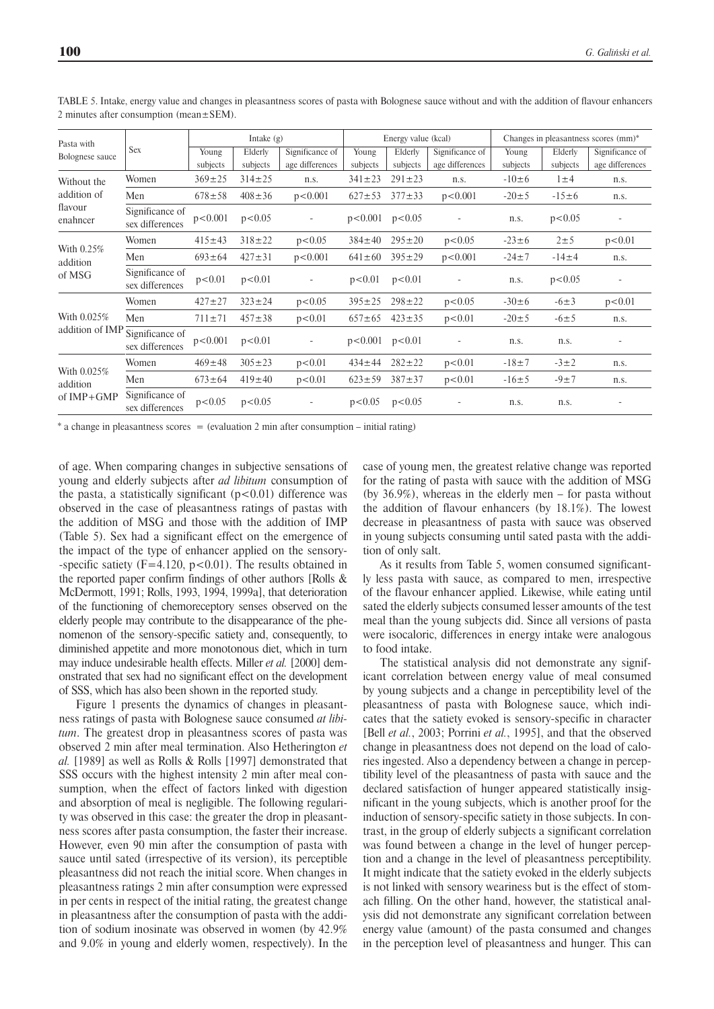| Pasta with<br>Bolognese sauce         | Sex                                |                   | Intake $(g)$        |                                    | Energy value (kcal) |                     |                                    | Changes in pleasantness scores (mm)* |                     |                                    |
|---------------------------------------|------------------------------------|-------------------|---------------------|------------------------------------|---------------------|---------------------|------------------------------------|--------------------------------------|---------------------|------------------------------------|
|                                       |                                    | Young<br>subjects | Elderly<br>subjects | Significance of<br>age differences | Young<br>subjects   | Elderly<br>subjects | Significance of<br>age differences | Young<br>subjects                    | Elderly<br>subjects | Significance of<br>age differences |
| Without the                           | Women                              | $369 \pm 25$      | $314 \pm 25$        | n.s.                               | $341 \pm 23$        | $291 \pm 23$        | n.s.                               | $-10\pm 6$                           | $1 \pm 4$           | n.s.                               |
| addition of                           | Men                                | $678 \pm 58$      | $408 \pm 36$        | p < 0.001                          | $627 \pm 53$        | $377 \pm 33$        | p < 0.001                          | $-20 \pm 5$                          | $-15\pm 6$          | n.s.                               |
| flavour<br>enahncer                   | Significance of<br>sex differences | p<0.001           | p<0.05              | $\overline{\phantom{a}}$           | $p<0.001$ $p<0.05$  |                     | $\overline{\phantom{a}}$           | n.s.                                 | p<0.05              |                                    |
| With $0.25\%$<br>addition<br>of MSG   | Women                              | $415 \pm 43$      | $318 \pm 22$        | p < 0.05                           | $384 \pm 40$        | $295 \pm 20$        | p < 0.05                           | $-23 \pm 6$                          | $2 \pm 5$           | p<0.01                             |
|                                       | Men                                | $693 \pm 64$      | $427 \pm 31$        | p < 0.001                          | $641 \pm 60$        | $395 \pm 29$        | p < 0.001                          | $-24 \pm 7$                          | $-14 \pm 4$         | n.s.                               |
|                                       | Significance of<br>sex differences | p<0.01            | p<0.01              | $\overline{\phantom{0}}$           | p<0.01              | p<0.01              | ÷,                                 | n.s.                                 | p < 0.05            |                                    |
| With 0.025%<br>addition of IMP        | Women                              | $427 \pm 27$      | $323 \pm 24$        | p < 0.05                           | $395 \pm 25$        | $298 \pm 22$        | p < 0.05                           | $-30 \pm 6$                          | $-6 \pm 3$          | p<0.01                             |
|                                       | Men                                | $711 \pm 71$      | $457 \pm 38$        | p < 0.01                           | $657 \pm 65$        | $423 \pm 35$        | p < 0.01                           | $-20 \pm 5$                          | $-6 \pm 5$          | n.s.                               |
|                                       | Significance of<br>sex differences | p<0.001           | p<0.01              | $\overline{\phantom{a}}$           | $p<0.001$ $p<0.01$  |                     |                                    | n.s.                                 | n.s.                |                                    |
| With 0.025%<br>addition<br>of IMP+GMP | Women                              | $469 \pm 48$      | $305 \pm 23$        | p<0.01                             | $434 \pm 44$        | $282 \pm 22$        | p<0.01                             | $-18 \pm 7$                          | $-3 \pm 2$          | n.s.                               |
|                                       | Men                                | $673 \pm 64$      | $419 \pm 40$        | p<0.01                             | $623 \pm 59$        | $387 + 37$          | p < 0.01                           | $-16 \pm 5$                          | $-9 \pm 7$          | n.s.                               |
|                                       | Significance of<br>sex differences | p < 0.05          | p<0.05              |                                    | p<0.05              | p < 0.05            |                                    | n.s.                                 | n.s.                |                                    |

TABLE 5. Intake, energy value and changes in pleasantness scores of pasta with Bolognese sauce without and with the addition of flavour enhancers 2 minutes after consumption (mean±SEM).

 $*$  a change in pleasantness scores = (evaluation 2 min after consumption – initial rating)

of age. When comparing changes in subjective sensations of young and elderly subjects after *ad libitum* consumption of the pasta, a statistically significant  $(p<0.01)$  difference was observed in the case of pleasantness ratings of pastas with the addition of MSG and those with the addition of IMP (Table 5). Sex had a significant effect on the emergence of the impact of the type of enhancer applied on the sensory- -specific satiety  $(F=4.120, p<0.01)$ . The results obtained in the reported paper confirm findings of other authors [Rolls & McDermott, 1991; Rolls, 1993, 1994, 1999a], that deterioration of the functioning of chemoreceptory senses observed on the elderly people may contribute to the disappearance of the phenomenon of the sensory-specific satiety and, consequently, to diminished appetite and more monotonous diet, which in turn may induce undesirable health effects. Miller *et al.* [2000] demonstrated that sex had no significant effect on the development of SSS, which has also been shown in the reported study.

Figure 1 presents the dynamics of changes in pleasantness ratings of pasta with Bolognese sauce consumed *at libitum*. The greatest drop in pleasantness scores of pasta was observed 2 min after meal termination. Also Hetherington *et al.* [1989] as well as Rolls & Rolls [1997] demonstrated that SSS occurs with the highest intensity 2 min after meal consumption, when the effect of factors linked with digestion and absorption of meal is negligible. The following regularity was observed in this case: the greater the drop in pleasantness scores after pasta consumption, the faster their increase. However, even 90 min after the consumption of pasta with sauce until sated (irrespective of its version), its perceptible pleasantness did not reach the initial score. When changes in pleasantness ratings 2 min after consumption were expressed in per cents in respect of the initial rating, the greatest change in pleasantness after the consumption of pasta with the addition of sodium inosinate was observed in women (by 42.9% and 9.0% in young and elderly women, respectively). In the

case of young men, the greatest relative change was reported for the rating of pasta with sauce with the addition of MSG (by 36.9%), whereas in the elderly men – for pasta without the addition of flavour enhancers (by 18.1%). The lowest decrease in pleasantness of pasta with sauce was observed in young subjects consuming until sated pasta with the addition of only salt.

As it results from Table 5, women consumed significantly less pasta with sauce, as compared to men, irrespective of the flavour enhancer applied. Likewise, while eating until sated the elderly subjects consumed lesser amounts of the test meal than the young subjects did. Since all versions of pasta were isocaloric, differences in energy intake were analogous to food intake.

The statistical analysis did not demonstrate any significant correlation between energy value of meal consumed by young subjects and a change in perceptibility level of the pleasantness of pasta with Bolognese sauce, which indicates that the satiety evoked is sensory-specific in character [Bell *et al.*, 2003; Porrini *et al.*, 1995], and that the observed change in pleasantness does not depend on the load of calories ingested. Also a dependency between a change in perceptibility level of the pleasantness of pasta with sauce and the declared satisfaction of hunger appeared statistically insignificant in the young subjects, which is another proof for the induction of sensory-specific satiety in those subjects. In contrast, in the group of elderly subjects a significant correlation was found between a change in the level of hunger perception and a change in the level of pleasantness perceptibility. It might indicate that the satiety evoked in the elderly subjects is not linked with sensory weariness but is the effect of stomach filling. On the other hand, however, the statistical analysis did not demonstrate any significant correlation between energy value (amount) of the pasta consumed and changes in the perception level of pleasantness and hunger. This can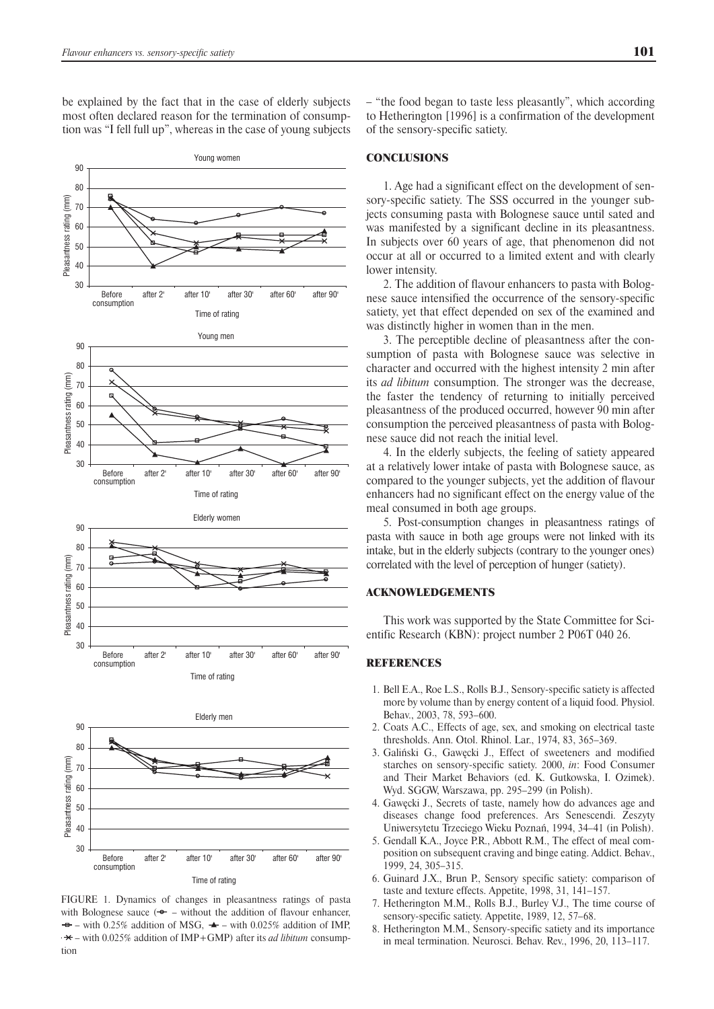be explained by the fact that in the case of elderly subjects most often declared reason for the termination of consumption was "I fell full up", whereas in the case of young subjects



FIGURE 1. Dynamics of changes in pleasantness ratings of pasta with Bolognese sauce  $(\rightarrow -$  without the addition of flavour enhancer.  $\rightarrow$  - with 0.25% addition of MSG,  $\rightarrow$  - with 0.025% addition of IMP, – with 0.025% addition of IMP+GMP) after its *ad libitum* consumption

– "the food began to taste less pleasantly", which according to Hetherington [1996] is a confirmation of the development of the sensory-specific satiety.

#### **CONCLUSIONS**

1. Age had a significant effect on the development of sensory-specific satiety. The SSS occurred in the younger subjects consuming pasta with Bolognese sauce until sated and was manifested by a significant decline in its pleasantness. In subjects over 60 years of age, that phenomenon did not occur at all or occurred to a limited extent and with clearly lower intensity.

2. The addition of flavour enhancers to pasta with Bolognese sauce intensified the occurrence of the sensory-specific satiety, yet that effect depended on sex of the examined and was distinctly higher in women than in the men.

3. The perceptible decline of pleasantness after the consumption of pasta with Bolognese sauce was selective in character and occurred with the highest intensity 2 min after its *ad libitum* consumption. The stronger was the decrease, the faster the tendency of returning to initially perceived pleasantness of the produced occurred, however 90 min after consumption the perceived pleasantness of pasta with Bolognese sauce did not reach the initial level.

4. In the elderly subjects, the feeling of satiety appeared at a relatively lower intake of pasta with Bolognese sauce, as compared to the younger subjects, yet the addition of flavour enhancers had no significant effect on the energy value of the meal consumed in both age groups.

5. Post-consumption changes in pleasantness ratings of pasta with sauce in both age groups were not linked with its intake, but in the elderly subjects (contrary to the younger ones) correlated with the level of perception of hunger (satiety).

#### ACKNOWLEDGEMENTS

This work was supported by the State Committee for Scientific Research (KBN): project number 2 P06T 040 26.

## **REFERENCES**

- 1. Bell E.A., Roe L.S., Rolls B.J., Sensory-specific satiety is affected more by volume than by energy content of a liquid food. Physiol. Behav., 2003, 78, 593–600.
- 2. Coats A.C., Effects of age, sex, and smoking on electrical taste thresholds. Ann. Otol. Rhinol. Lar., 1974, 83, 365–369.
- 3. Galiński G., Gawęcki J., Effect of sweeteners and modified starches on sensory-specific satiety. 2000, *in*: Food Consumer and Their Market Behaviors (ed. K. Gutkowska, I. Ozimek). Wyd. SGGW, Warszawa, pp. 295–299 (in Polish).
- 4. Gawęcki J., Secrets of taste, namely how do advances age and diseases change food preferences. Ars Senescendi. Zeszyty Uniwersytetu Trzeciego Wieku Poznań, 1994, 34–41 (in Polish).
- 5. Gendall K.A., Joyce P.R., Abbott R.M., The effect of meal composition on subsequent craving and binge eating. Addict. Behav., 1999, 24, 305–315.
- 6. Guinard J.X., Brun P., Sensory specific satiety: comparison of taste and texture effects. Appetite, 1998, 31, 141–157.
- 7. Hetherington M.M., Rolls B.J., Burley V.J., The time course of sensory-specific satiety. Appetite, 1989, 12, 57–68.
- 8. Hetherington M.M., Sensory-specific satiety and its importance in meal termination. Neurosci. Behav. Rev., 1996, 20, 113–117.